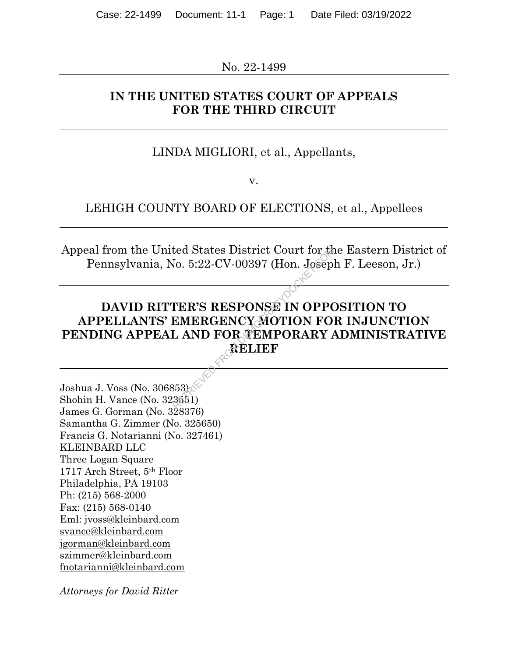No. 22-1499

# **IN THE UNITED STATES COURT OF APPEALS FOR THE THIRD CIRCUIT**

# LINDA MIGLIORI, et al., Appellants,

v.

## LEHIGH COUNTY BOARD OF ELECTIONS, et al., Appellees

Appeal from the United States District Court for the Eastern District of Pennsylvania, No. 5:22-CV-00397 (Hon. Joseph F. Leeson, Jr.)

# **DAVID RITTER'S RESPONSE IN OPPOSITION TO APPELLANTS' EMERGENCY MOTION FOR INJUNCTION PENDING APPEAL AND FOR TEMPORARY ADMINISTRATIVE RELIEF** RETRIEVED FROM DEMONSTRATION CONTROLLY AND FOR TEMPORARY AND FOR TEMPORARY AND SECTION FOR TRIAL RETRIEVED SUPPORTED AND RELIEF

Joshua J. Voss (No. 306853) Shohin H. Vance (No. 323551) James G. Gorman (No. 328376) Samantha G. Zimmer (No. 325650) Francis G. Notarianni (No. 327461) KLEINBARD LLC Three Logan Square 1717 Arch Street, 5th Floor Philadelphia, PA 19103 Ph: (215) 568-2000 Fax: (215) 568-0140 Eml: jvoss@kleinbard.com svance@kleinbard.com jgorman@kleinbard.com szimmer@kleinbard.com fnotarianni@kleinbard.com

*Attorneys for David Ritter*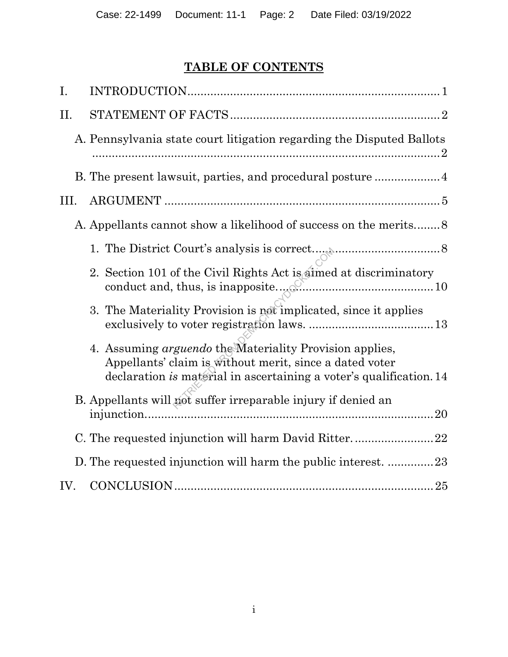# **TABLE OF CONTENTS**

| Ι.   |                                                                                                                                                                                                  |
|------|--------------------------------------------------------------------------------------------------------------------------------------------------------------------------------------------------|
| II.  |                                                                                                                                                                                                  |
|      | A. Pennsylvania state court litigation regarding the Disputed Ballots                                                                                                                            |
|      |                                                                                                                                                                                                  |
| III. |                                                                                                                                                                                                  |
|      | A. Appellants cannot show a likelihood of success on the merits                                                                                                                                  |
|      |                                                                                                                                                                                                  |
|      | 2. Section 101 of the Civil Rights Act is aimed at discriminatory                                                                                                                                |
|      | 3. The Materiality Provision is not implicated, since it applies                                                                                                                                 |
|      | 4. Assuming <i>arguendo</i> the Materiality Provision applies,<br>Appellants' claim is without merit, since a dated voter<br>declaration is material in ascertaining a voter's qualification. 14 |
|      | B. Appellants will not suffer irreparable injury if denied an<br>20                                                                                                                              |
|      |                                                                                                                                                                                                  |
|      | D. The requested injunction will harm the public interest. 23                                                                                                                                    |
| IV.  |                                                                                                                                                                                                  |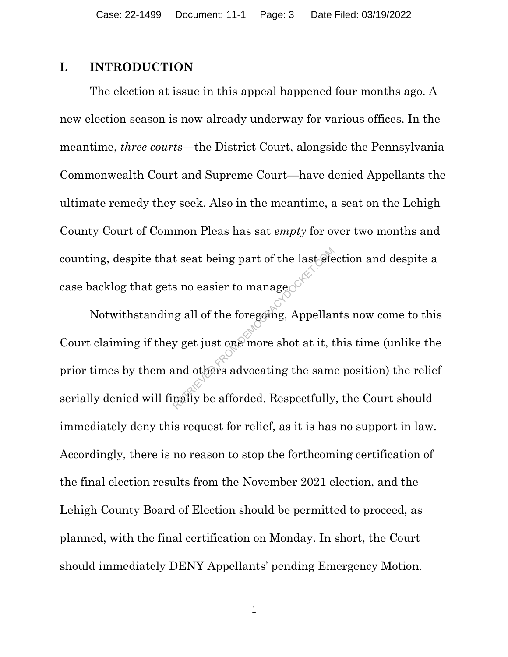#### **I. INTRODUCTION**

The election at issue in this appeal happened four months ago. A new election season is now already underway for various offices. In the meantime, *three courts*—the District Court, alongside the Pennsylvania Commonwealth Court and Supreme Court—have denied Appellants the ultimate remedy they seek. Also in the meantime, a seat on the Lehigh County Court of Common Pleas has sat *empty* for over two months and counting, despite that seat being part of the last election and despite a case backlog that gets no easier to manage.

Notwithstanding all of the foregoing, Appellants now come to this Court claiming if they get just one more shot at it, this time (unlike the prior times by them and others advocating the same position) the relief serially denied will finally be afforded. Respectfully, the Court should immediately deny this request for relief, as it is has no support in law. Accordingly, there is no reason to stop the forthcoming certification of the final election results from the November 2021 election, and the Lehigh County Board of Election should be permitted to proceed, as planned, with the final certification on Monday. In short, the Court should immediately DENY Appellants' pending Emergency Motion. t seat being part of the last of<br>s no easier to manage<br>ug all of the foregoing, Appellar<br>y get just one more shot at it, t<br>and others advocating the same<br>maily be afforded. Respectfully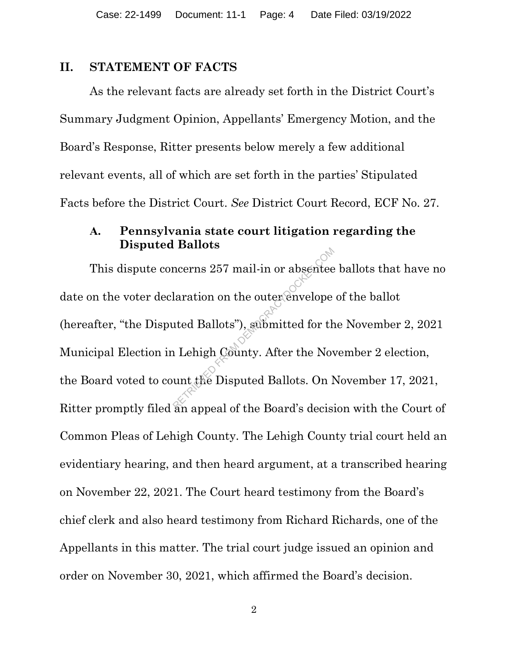#### **II. STATEMENT OF FACTS**

As the relevant facts are already set forth in the District Court's Summary Judgment Opinion, Appellants' Emergency Motion, and the Board's Response, Ritter presents below merely a few additional relevant events, all of which are set forth in the parties' Stipulated Facts before the District Court. *See* District Court Record, ECF No. 27.

## **A. Pennsylvania state court litigation regarding the Disputed Ballots**

This dispute concerns 257 mail-in or absentee ballots that have no date on the voter declaration on the outer envelope of the ballot (hereafter, "the Disputed Ballots"), submitted for the November 2, 2021 Municipal Election in Lehigh County. After the November 2 election, the Board voted to count the Disputed Ballots. On November 17, 2021, Ritter promptly filed an appeal of the Board's decision with the Court of Common Pleas of Lehigh County. The Lehigh County trial court held an evidentiary hearing, and then heard argument, at a transcribed hearing on November 22, 2021. The Court heard testimony from the Board's chief clerk and also heard testimony from Richard Richards, one of the Appellants in this matter. The trial court judge issued an opinion and order on November 30, 2021, which affirmed the Board's decision. Reflexements 257 mail-in or absented<br>laration on the outer envelope<br>ated Ballots"), submitted for the<br>parameters of the Board's decising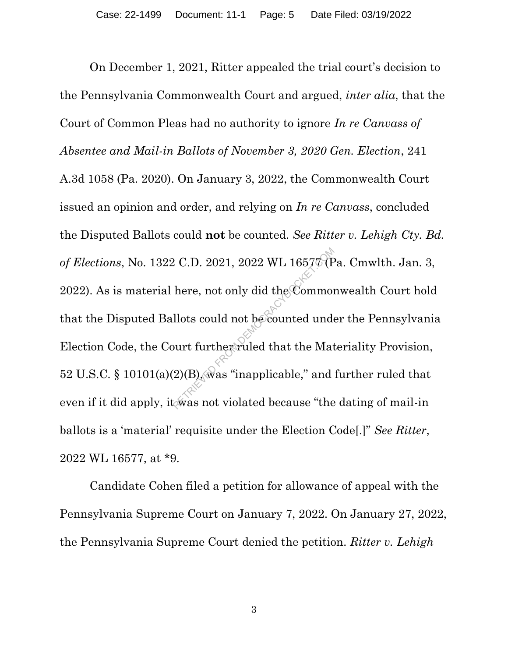On December 1, 2021, Ritter appealed the trial court's decision to the Pennsylvania Commonwealth Court and argued, *inter alia*, that the Court of Common Pleas had no authority to ignore *In re Canvass of Absentee and Mail-in Ballots of November 3, 2020 Gen. Election*, 241 A.3d 1058 (Pa. 2020). On January 3, 2022, the Commonwealth Court issued an opinion and order, and relying on *In re Canvass*, concluded the Disputed Ballots could **not** be counted. *See Ritter v. Lehigh Cty. Bd. of Elections*, No. 1322 C.D. 2021, 2022 WL 16577 (Pa. Cmwlth. Jan. 3, 2022). As is material here, not only did the Commonwealth Court hold that the Disputed Ballots could not be counted under the Pennsylvania Election Code, the Court further ruled that the Materiality Provision, 52 U.S.C. § 10101(a)(2)(B), was "inapplicable," and further ruled that even if it did apply, it was not violated because "the dating of mail-in" ballots is a 'material' requisite under the Election Code[.]" *See Ritter*, 2022 WL 16577, at \*9.  $R$  C.D. 2021, 2022 WL 1657 $\sigma$  (F<br>here, not only did the Common<br>llots could not be counted under<br>ourt further ruled that the Mat<br>(2)(B), was "inapplicable," and<br>was not violated because "the

Candidate Cohen filed a petition for allowance of appeal with the Pennsylvania Supreme Court on January 7, 2022. On January 27, 2022, the Pennsylvania Supreme Court denied the petition. *Ritter v. Lehigh*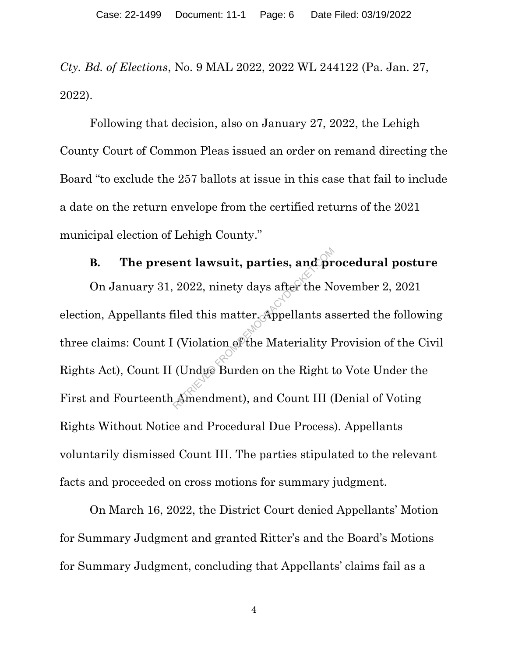*Cty. Bd. of Elections*, No. 9 MAL 2022, 2022 WL 244122 (Pa. Jan. 27, 2022).

Following that decision, also on January 27, 2022, the Lehigh County Court of Common Pleas issued an order on remand directing the Board "to exclude the 257 ballots at issue in this case that fail to include a date on the return envelope from the certified returns of the 2021 municipal election of Lehigh County."

# **B. The present lawsuit, parties, and procedural posture**

On January 31, 2022, ninety days after the November 2, 2021 election, Appellants filed this matter. Appellants asserted the following three claims: Count I (Violation of the Materiality Provision of the Civil Rights Act), Count II (Undue Burden on the Right to Vote Under the First and Fourteenth Amendment), and Count III (Denial of Voting Rights Without Notice and Procedural Due Process). Appellants voluntarily dismissed Count III. The parties stipulated to the relevant facts and proceeded on cross motions for summary judgment. ent lawsuit, parties, and pr<br>
2022, ninety days after the N<br>
iled this matter. Appellants as<br>
(Violation of the Materiality I<br>
(Undue Burden on the Right t<br>
Amendment), and Count III (

On March 16, 2022, the District Court denied Appellants' Motion for Summary Judgment and granted Ritter's and the Board's Motions for Summary Judgment, concluding that Appellants' claims fail as a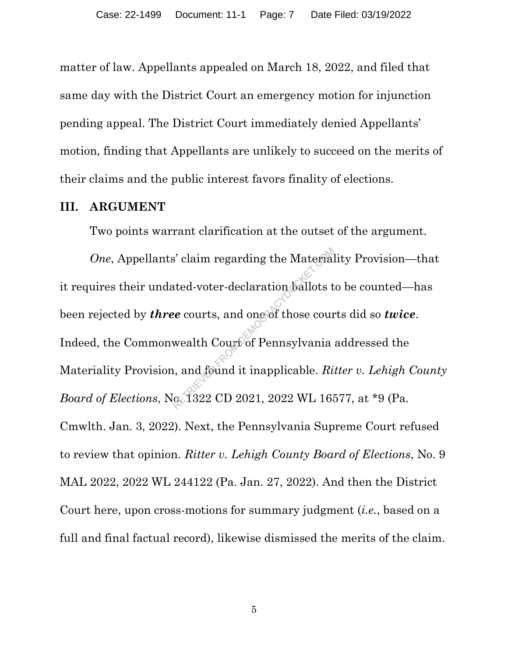matter of law. Appellants appealed on March 18, 2022, and filed that same day with the District Court an emergency motion for injunction pending appeal. The District Court immediately denied Appellants' motion, finding that Appellants are unlikely to succeed on the merits of their claims and the public interest favors finality of elections.

#### **III. ARGUMENT**

Two points warrant clarification at the outset of the argument.

*One*, Appellants' claim regarding the Materiality Provision—that it requires their undated-voter-declaration ballots to be counted—has been rejected by *three* courts, and one of those courts did so *twice*. Indeed, the Commonwealth Court of Pennsylvania addressed the Materiality Provision, and found it inapplicable. *Ritter v. Lehigh County Board of Elections*, No. 1322 CD 2021, 2022 WL 16577, at \*9 (Pa. Cmwlth. Jan. 3, 2022). Next, the Pennsylvania Supreme Court refused to review that opinion. *Ritter v. Lehigh County Board of Elections*, No. 9 MAL 2022, 2022 WL 244122 (Pa. Jan. 27, 2022). And then the District Court here, upon cross-motions for summary judgment (*i.e.*, based on a full and final factual record), likewise dismissed the merits of the claim.  $R^2$  claim regarding the Material<br>ated-voter-declaration ballots to<br> $R^2$  courts, and one of those cour<br>wealth Court of Pennsylvania<br>i, and found it inapplicable.  $Ri$ <br> $R^2$  ( $R^2$  322 CD 2021, 2022 WL 168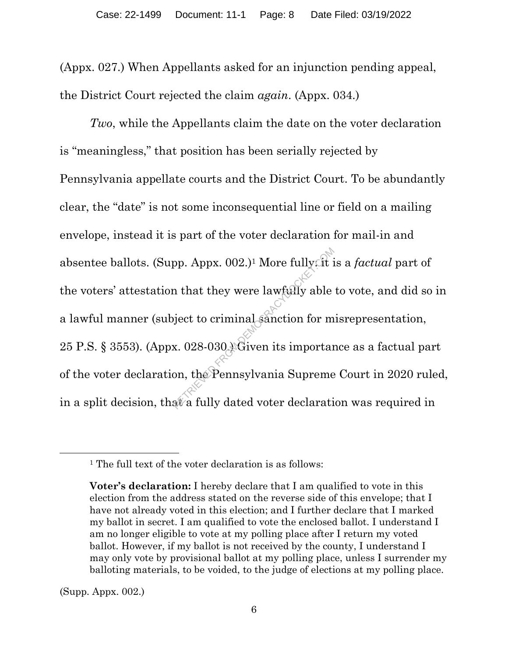(Appx. 027.) When Appellants asked for an injunction pending appeal, the District Court rejected the claim *again*. (Appx. 034.)

*Two*, while the Appellants claim the date on the voter declaration is "meaningless," that position has been serially rejected by Pennsylvania appellate courts and the District Court. To be abundantly clear, the "date" is not some inconsequential line or field on a mailing envelope, instead it is part of the voter declaration for mail-in and absentee ballots. (Supp. Appx. 002.)1 More fully: it is a *factual* part of the voters' attestation that they were lawfully able to vote, and did so in a lawful manner (subject to criminal sanction for misrepresentation, 25 P.S. § 3553). (Appx. 028-030.) Given its importance as a factual part of the voter declaration, the Pennsylvania Supreme Court in 2020 ruled, in a split decision, that a fully dated voter declaration was required in pp. Appx. 002.)<sup>1</sup> More fully.ft is<br>in that they were lawfully able<br>bject to criminal sanction for m<br>x. 028-030. Given its importan<br>on, the Pennsylvania Supreme<br>at a fully dated voter declarati

(Supp. Appx. 002.)

<sup>&</sup>lt;sup>1</sup> The full text of the voter declaration is as follows:

**Voter's declaration:** I hereby declare that I am qualified to vote in this election from the address stated on the reverse side of this envelope; that I have not already voted in this election; and I further declare that I marked my ballot in secret. I am qualified to vote the enclosed ballot. I understand I am no longer eligible to vote at my polling place after I return my voted ballot. However, if my ballot is not received by the county, I understand I may only vote by provisional ballot at my polling place, unless I surrender my balloting materials, to be voided, to the judge of elections at my polling place.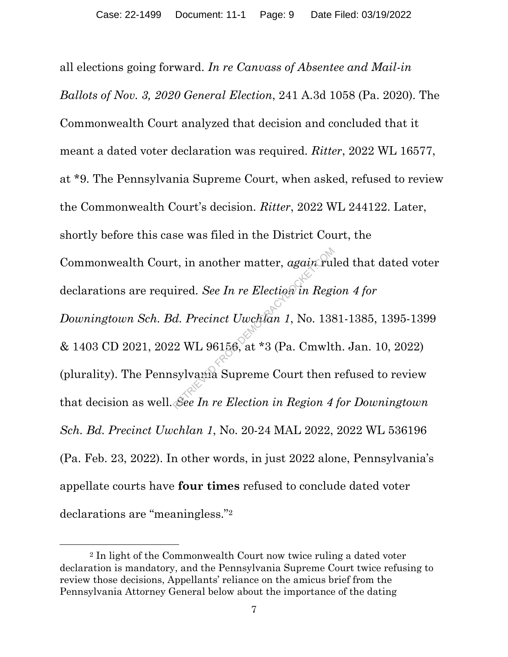all elections going forward. *In re Canvass of Absentee and Mail-in Ballots of Nov. 3, 2020 General Election*, 241 A.3d 1058 (Pa. 2020). The Commonwealth Court analyzed that decision and concluded that it meant a dated voter declaration was required. *Ritter*, 2022 WL 16577, at \*9. The Pennsylvania Supreme Court, when asked, refused to review the Commonwealth Court's decision. *Ritter*, 2022 WL 244122. Later, shortly before this case was filed in the District Court, the Commonwealth Court, in another matter, *again* ruled that dated voter declarations are required. *See In re Election in Region 4 for Downingtown Sch. Bd. Precinct Uwchlan 1*, No. 1381-1385, 1395-1399 & 1403 CD 2021, 2022 WL 96156, at \*3 (Pa. Cmwlth. Jan. 10, 2022) (plurality). The Pennsylvania Supreme Court then refused to review that decision as well. *See In re Election in Region 4 for Downingtown Sch. Bd. Precinct Uwchlan 1*, No. 20-24 MAL 2022, 2022 WL 536196 (Pa. Feb. 23, 2022). In other words, in just 2022 alone, Pennsylvania's appellate courts have **four times** refused to conclude dated voter declarations are "meaningless."<sup>2</sup> Franchise matter, again Fultired. See In re Election in Regional.<br>
Represent Uwcklan 1, No. 138<br>
2 WL 96156, at \*3 (Pa. Cmwlt<br>
sylvania Supreme Court then<br>
See In re Election in Region 4

<sup>2</sup> In light of the Commonwealth Court now twice ruling a dated voter declaration is mandatory, and the Pennsylvania Supreme Court twice refusing to review those decisions, Appellants' reliance on the amicus brief from the Pennsylvania Attorney General below about the importance of the dating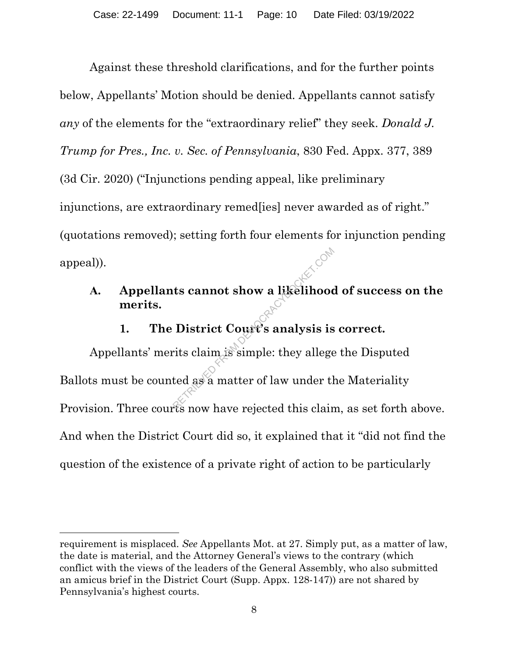Against these threshold clarifications, and for the further points below, Appellants' Motion should be denied. Appellants cannot satisfy *any* of the elements for the "extraordinary relief" they seek. *Donald J. Trump for Pres., Inc. v. Sec. of Pennsylvania*, 830 Fed. Appx. 377, 389 (3d Cir. 2020) ("Injunctions pending appeal, like preliminary injunctions, are extraordinary remed[ies] never awarded as of right." (quotations removed); setting forth four elements for injunction pending appeal)).

# **A. Appellants cannot show a likelihood of success on the merits.**

# **1. The District Court's analysis is correct.**

Appellants' merits claim is simple: they allege the Disputed Ballots must be counted as a matter of law under the Materiality Provision. Three courts now have rejected this claim, as set forth above. And when the District Court did so, it explained that it "did not find the question of the existence of a private right of action to be particularly The Second Show a likelihood<br>District Court's analysis is<br>rits claim is simple: they allege<br>ted as a matter of law under the

requirement is misplaced. *See* Appellants Mot. at 27. Simply put, as a matter of law, the date is material, and the Attorney General's views to the contrary (which conflict with the views of the leaders of the General Assembly, who also submitted an amicus brief in the District Court (Supp. Appx. 128-147)) are not shared by Pennsylvania's highest courts.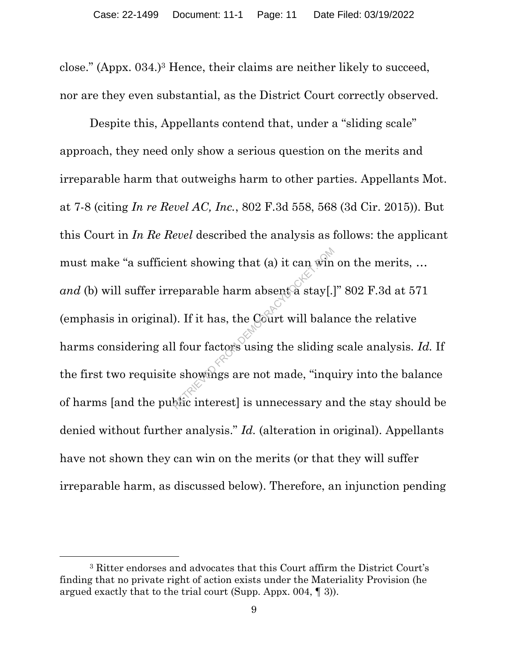close." (Appx. 034.)3 Hence, their claims are neither likely to succeed, nor are they even substantial, as the District Court correctly observed.

Despite this, Appellants contend that, under a "sliding scale" approach, they need only show a serious question on the merits and irreparable harm that outweighs harm to other parties. Appellants Mot. at 7-8 (citing *In re Revel AC, Inc.*, 802 F.3d 558, 568 (3d Cir. 2015)). But this Court in *In Re Revel* described the analysis as follows: the applicant must make "a sufficient showing that (a) it can win on the merits, … *and* (b) will suffer irreparable harm absent a stay[.]" 802 F.3d at 571 (emphasis in original). If it has, the Court will balance the relative harms considering all four factors using the sliding scale analysis. *Id.* If the first two requisite showings are not made, "inquiry into the balance of harms [and the public interest] is unnecessary and the stay should be denied without further analysis." *Id.* (alteration in original). Appellants have not shown they can win on the merits (or that they will suffer irreparable harm, as discussed below). Therefore, an injunction pending ent showing that (a) it can windeparable harm absent a stay[.]<br>
(b). If it has, the Court will bala:<br>
I four factors using the sliding<br>
e showings are not made, "inquares interest" is unnecessary and

<sup>3</sup> Ritter endorses and advocates that this Court affirm the District Court's finding that no private right of action exists under the Materiality Provision (he argued exactly that to the trial court (Supp. Appx. 004, ¶ 3)).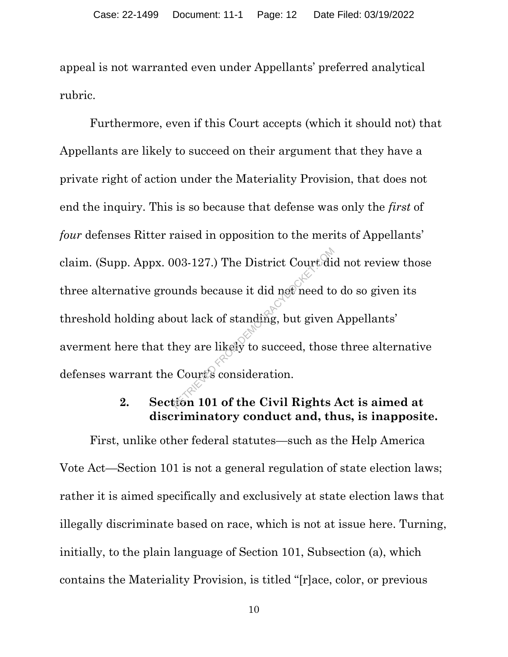appeal is not warranted even under Appellants' preferred analytical rubric.

Furthermore, even if this Court accepts (which it should not) that Appellants are likely to succeed on their argument that they have a private right of action under the Materiality Provision, that does not end the inquiry. This is so because that defense was only the *first* of *four* defenses Ritter raised in opposition to the merits of Appellants' claim. (Supp. Appx. 003-127.) The District Court did not review those three alternative grounds because it did not need to do so given its threshold holding about lack of standing, but given Appellants' averment here that they are likely to succeed, those three alternative defenses warrant the Court's consideration.  $(0.03-127.)$  The District Court diameters and the median out lack of standing, but given<br>hey are likely to succeed, those<br>Court's consideration.

## **2. Section 101 of the Civil Rights Act is aimed at discriminatory conduct and, thus, is inapposite.**

First, unlike other federal statutes—such as the Help America Vote Act—Section 101 is not a general regulation of state election laws; rather it is aimed specifically and exclusively at state election laws that illegally discriminate based on race, which is not at issue here. Turning, initially, to the plain language of Section 101, Subsection (a), which contains the Materiality Provision, is titled "[r]ace, color, or previous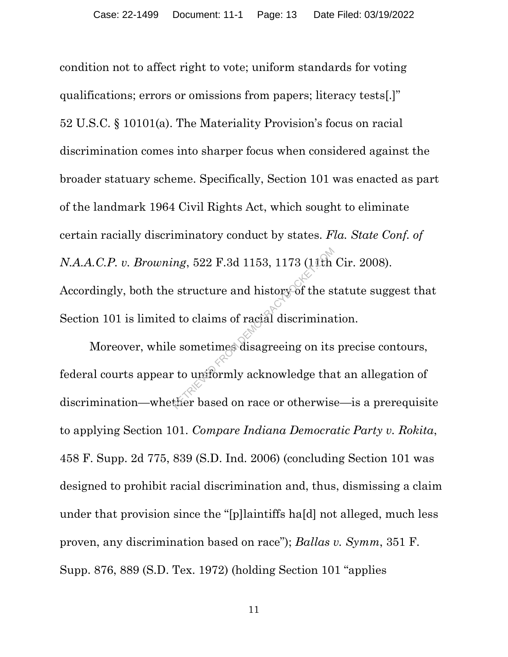condition not to affect right to vote; uniform standards for voting qualifications; errors or omissions from papers; literacy tests[.]" 52 U.S.C. § 10101(a). The Materiality Provision's focus on racial discrimination comes into sharper focus when considered against the broader statuary scheme. Specifically, Section 101 was enacted as part of the landmark 1964 Civil Rights Act, which sought to eliminate certain racially discriminatory conduct by states. *Fla. State Conf. of N.A.A.C.P. v. Browning*, 522 F.3d 1153, 1173 (11th Cir. 2008). Accordingly, both the structure and history of the statute suggest that Section 101 is limited to claims of racial discrimination.  $n$ g, 522 F.3d 1153, 1173 (11th<br>  $\cdot$  structure and history of the s<br>
d to claims of racial discrimina<br>
e sometimes disagreeing on its<br>  $\cdot$  to uniformly acknowledge that<br>
ther based on race or otherwis

Moreover, while sometimes disagreeing on its precise contours, federal courts appear to uniformly acknowledge that an allegation of discrimination—whether based on race or otherwise—is a prerequisite to applying Section 101. *Compare Indiana Democratic Party v. Rokita*, 458 F. Supp. 2d 775, 839 (S.D. Ind. 2006) (concluding Section 101 was designed to prohibit racial discrimination and, thus, dismissing a claim under that provision since the "[p]laintiffs ha[d] not alleged, much less proven, any discrimination based on race"); *Ballas v. Symm*, 351 F. Supp. 876, 889 (S.D. Tex. 1972) (holding Section 101 "applies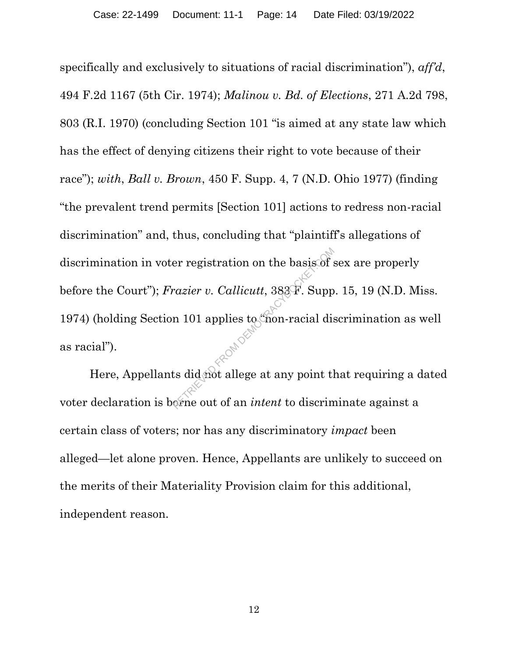specifically and exclusively to situations of racial discrimination"), *aff'd*, 494 F.2d 1167 (5th Cir. 1974); *Malinou v. Bd. of Elections*, 271 A.2d 798, 803 (R.I. 1970) (concluding Section 101 "is aimed at any state law which has the effect of denying citizens their right to vote because of their race"); *with*, *Ball v. Brown*, 450 F. Supp. 4, 7 (N.D. Ohio 1977) (finding "the prevalent trend permits [Section 101] actions to redress non-racial discrimination" and, thus, concluding that "plaintiff's allegations of discrimination in voter registration on the basis of sex are properly before the Court"); *Frazier v. Callicutt*, 383 F. Supp. 15, 19 (N.D. Miss. 1974) (holding Section 101 applies to mon-racial discrimination as well as racial"). er registration on the basis of  $\kappa$ <br>razier v. Callicutt, 383 F. Supp<br>n 101 applies to chon-racial dist<br>ts did not allege at any point the<br>princ out of an *intent* to discrim

Here, Appellants did not allege at any point that requiring a dated voter declaration is borne out of an *intent* to discriminate against a certain class of voters; nor has any discriminatory *impact* been alleged—let alone proven. Hence, Appellants are unlikely to succeed on the merits of their Materiality Provision claim for this additional, independent reason.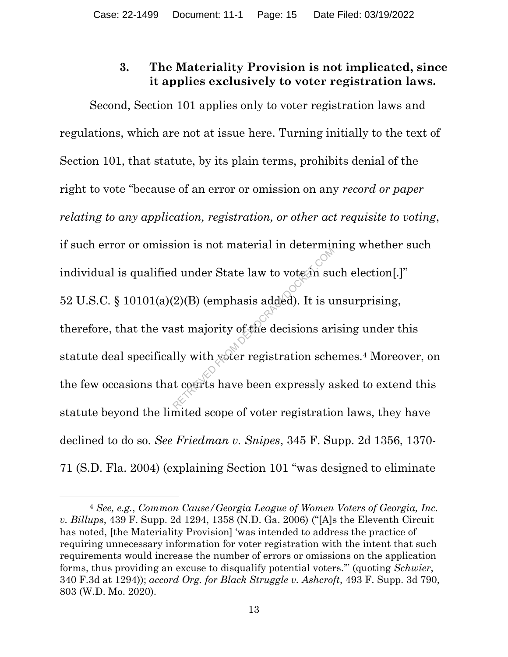# **3. The Materiality Provision is not implicated, since it applies exclusively to voter registration laws.**

Second, Section 101 applies only to voter registration laws and regulations, which are not at issue here. Turning initially to the text of Section 101, that statute, by its plain terms, prohibits denial of the right to vote "because of an error or omission on any *record or paper relating to any application, registration, or other act requisite to voting*, if such error or omission is not material in determining whether such individual is qualified under State law to vote  $\hat{a}$ n such election[.]" 52 U.S.C.  $\S$  10101(a)(2)(B) (emphasis added). It is unsurprising, therefore, that the vast majority of the decisions arising under this statute deal specifically with voter registration schemes.4 Moreover, on the few occasions that courts have been expressly asked to extend this statute beyond the limited scope of voter registration laws, they have declined to do so. *See Friedman v. Snipes*, 345 F. Supp. 2d 1356, 1370- 71 (S.D. Fla. 2004) (explaining Section 101 "was designed to eliminate d under State law to vote in such as<br>(2)(B) (emphasis added). It is u<br>st majority of the decisions ari<br>lly with yeter registration sche<br>t courts have been expressly a

<sup>4</sup> *See, e.g.*, *Common Cause/Georgia League of Women Voters of Georgia, Inc. v. Billups*, 439 F. Supp. 2d 1294, 1358 (N.D. Ga. 2006) ("[A]s the Eleventh Circuit has noted, [the Materiality Provision] 'was intended to address the practice of requiring unnecessary information for voter registration with the intent that such requirements would increase the number of errors or omissions on the application forms, thus providing an excuse to disqualify potential voters.'" (quoting *Schwier*, 340 F.3d at 1294)); *accord Org. for Black Struggle v. Ashcroft*, 493 F. Supp. 3d 790, 803 (W.D. Mo. 2020).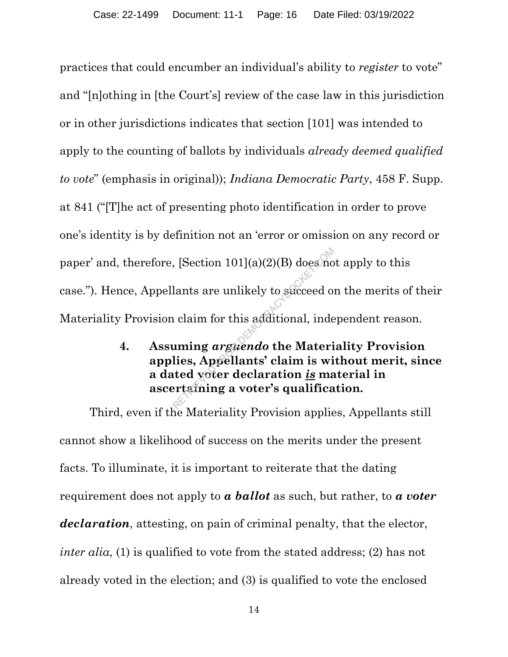practices that could encumber an individual's ability to *register* to vote" and "[n]othing in [the Court's] review of the case law in this jurisdiction or in other jurisdictions indicates that section [101] was intended to apply to the counting of ballots by individuals *already deemed qualified to vote*" (emphasis in original)); *Indiana Democratic Party*, 458 F. Supp. at 841 ("[T]he act of presenting photo identification in order to prove one's identity is by definition not an 'error or omission on any record or paper' and, therefore, [Section 101](a)(2)(B) does not apply to this case."). Hence, Appellants are unlikely to succeed on the merits of their Materiality Provision claim for this additional, independent reason. Representing the United Section 101](a)(2)(B) does not<br>alants are unlikely to section of the Material claim for this additional, inde<br>alam for this additional, inde<br>alam is witted voter declaration is material in the Sect

**4. Assuming** *arguendo* **the Materiality Provision applies, Appellants' claim is without merit, since a dated voter declaration** *is* **material in ascertaining a voter's qualification.**

Third, even if the Materiality Provision applies, Appellants still cannot show a likelihood of success on the merits under the present facts. To illuminate, it is important to reiterate that the dating requirement does not apply to *a ballot* as such, but rather, to *a voter declaration*, attesting, on pain of criminal penalty, that the elector, *inter alia*, (1) is qualified to vote from the stated address; (2) has not already voted in the election; and (3) is qualified to vote the enclosed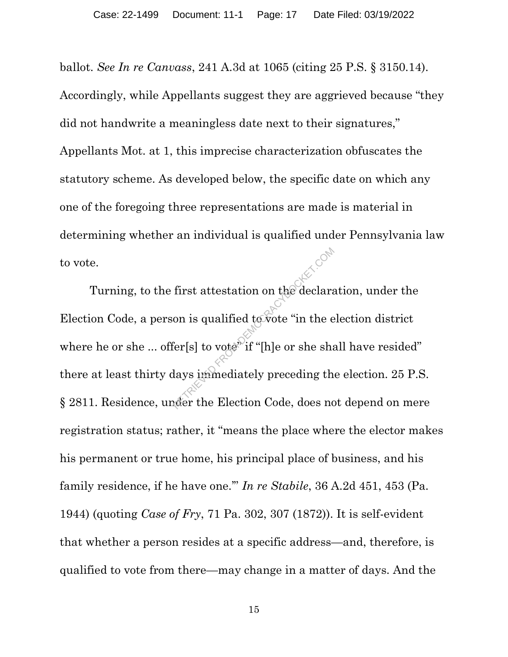ballot. *See In re Canvass*, 241 A.3d at 1065 (citing 25 P.S. § 3150.14). Accordingly, while Appellants suggest they are aggrieved because "they did not handwrite a meaningless date next to their signatures," Appellants Mot. at 1, this imprecise characterization obfuscates the statutory scheme. As developed below, the specific date on which any one of the foregoing three representations are made is material in determining whether an individual is qualified under Pennsylvania law to vote.

Turning, to the first attestation on the declaration, under the Election Code, a person is qualified to vote "in the election district where he or she ... offer[s] to vote<sup>"</sup> if "[h]e or she shall have resided" there at least thirty days immediately preceding the election. 25 P.S. § 2811. Residence, under the Election Code, does not depend on mere registration status; rather, it "means the place where the elector makes his permanent or true home, his principal place of business, and his family residence, if he have one.'" *In re Stabile*, 36 A.2d 451, 453 (Pa. 1944) (quoting *Case of Fry*, 71 Pa. 302, 307 (1872)). It is self-evident that whether a person resides at a specific address—and, therefore, is qualified to vote from there—may change in a matter of days. And the First attestation on the declara<br>on is qualified to vote "in the e<br>fer[s] to vote" if "[h]e or she sha<br>days immediately preceding the<br>refer the Election Code, does no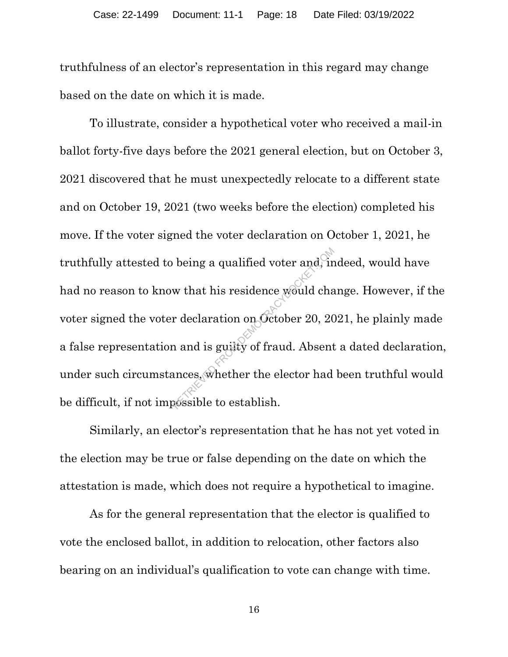truthfulness of an elector's representation in this regard may change based on the date on which it is made.

To illustrate, consider a hypothetical voter who received a mail-in ballot forty-five days before the 2021 general election, but on October 3, 2021 discovered that he must unexpectedly relocate to a different state and on October 19, 2021 (two weeks before the election) completed his move. If the voter signed the voter declaration on October 1, 2021, he truthfully attested to being a qualified voter and, indeed, would have had no reason to know that his residence would change. However, if the voter signed the voter declaration on October 20, 2021, he plainly made a false representation and is guilty of fraud. Absent a dated declaration, under such circumstances, whether the elector had been truthful would be difficult, if not impossible to establish. being a qualified voter and, in<br>w that his residence would changed in the declaration on October 20, 20<br>and is guilty of fraud. Absent<br>ances, whether the elector had

Similarly, an elector's representation that he has not yet voted in the election may be true or false depending on the date on which the attestation is made, which does not require a hypothetical to imagine.

As for the general representation that the elector is qualified to vote the enclosed ballot, in addition to relocation, other factors also bearing on an individual's qualification to vote can change with time.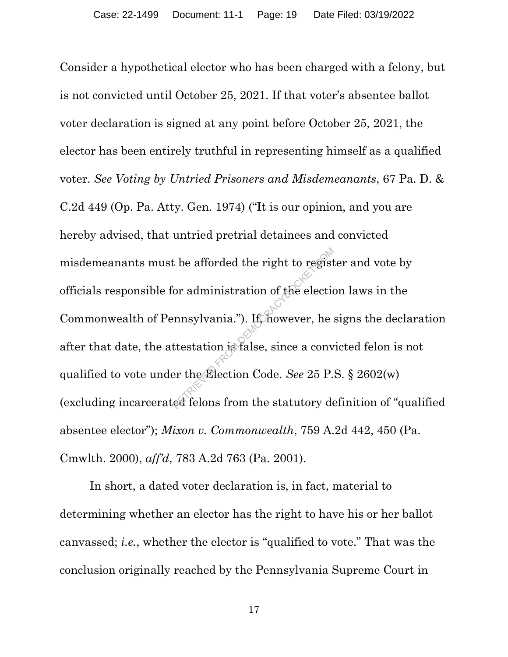Consider a hypothetical elector who has been charged with a felony, but is not convicted until October 25, 2021. If that voter's absentee ballot voter declaration is signed at any point before October 25, 2021, the elector has been entirely truthful in representing himself as a qualified voter. *See Voting by Untried Prisoners and Misdemeanants*, 67 Pa. D. & C.2d 449 (Op. Pa. Atty. Gen. 1974) ("It is our opinion, and you are hereby advised, that untried pretrial detainees and convicted misdemeanants must be afforded the right to register and vote by officials responsible for administration of the election laws in the Commonwealth of Pennsylvania."). If, however, he signs the declaration after that date, the attestation is false, since a convicted felon is not qualified to vote under the Election Code. *See* 25 P.S. § 2602(w) (excluding incarcerated felons from the statutory definition of "qualified absentee elector"); *Mixon v. Commonwealth*, 759 A.2d 442, 450 (Pa. Cmwlth. 2000), *aff'd*, 783 A.2d 763 (Pa. 2001). the afforded the right to regist<br>
or administration of the election<br>
election<br>
mnsylvania."). It however, he<br>
ttestation is false, since a convert the Election Code. See 25 P.<br>
ed felons from the statutory de

In short, a dated voter declaration is, in fact, material to determining whether an elector has the right to have his or her ballot canvassed; *i.e.*, whether the elector is "qualified to vote." That was the conclusion originally reached by the Pennsylvania Supreme Court in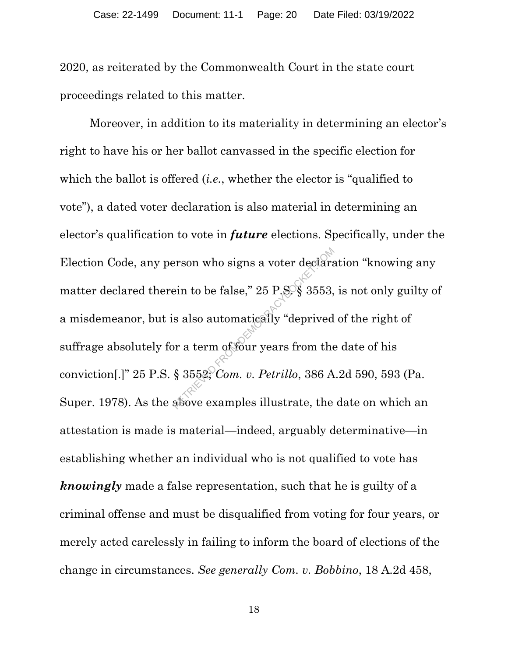2020, as reiterated by the Commonwealth Court in the state court proceedings related to this matter.

Moreover, in addition to its materiality in determining an elector's right to have his or her ballot canvassed in the specific election for which the ballot is offered (*i.e.*, whether the elector is "qualified to vote"), a dated voter declaration is also material in determining an elector's qualification to vote in *future* elections. Specifically, under the Election Code, any person who signs a voter declaration "knowing any matter declared therein to be false,"  $25$  P.S.  $\S$  3553, is not only guilty of a misdemeanor, but is also automatically "deprived of the right of suffrage absolutely for a term of four years from the date of his conviction[.]" 25 P.S. § 3552; *Com. v. Petrillo*, 386 A.2d 590, 593 (Pa. Super. 1978). As the above examples illustrate, the date on which an attestation is made is material—indeed, arguably determinative—in establishing whether an individual who is not qualified to vote has *knowingly* made a false representation, such that he is guilty of a criminal offense and must be disqualified from voting for four years, or merely acted carelessly in failing to inform the board of elections of the change in circumstances. *See generally Com. v. Bobbino*, 18 A.2d 458, Price in to be false," 25 P.S. § 3553,<br>
a also automatically "deprived<br>
or a term of four years from the<br>
§ 3552; Com. v. Petrillo, 386 A<br>
above examples illustrate, the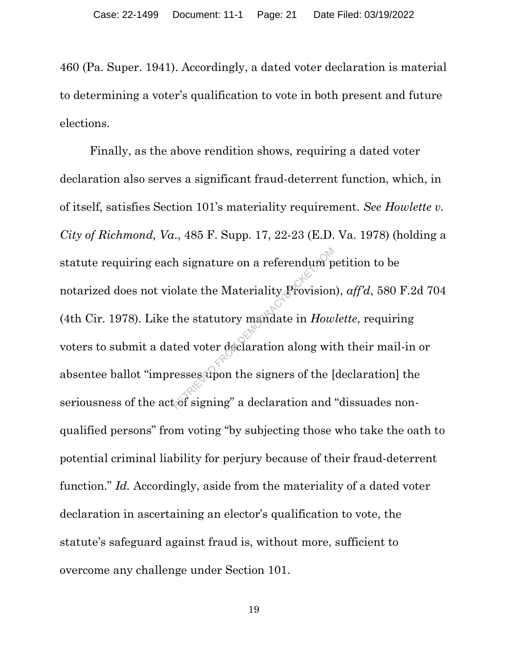460 (Pa. Super. 1941). Accordingly, a dated voter declaration is material to determining a voter's qualification to vote in both present and future elections.

Finally, as the above rendition shows, requiring a dated voter declaration also serves a significant fraud-deterrent function, which, in of itself, satisfies Section 101's materiality requirement. *See Howlette v. City of Richmond, Va*., 485 F. Supp. 17, 22-23 (E.D. Va. 1978) (holding a statute requiring each signature on a referendum petition to be notarized does not violate the Materiality Provision), *aff'd*, 580 F.2d 704 (4th Cir. 1978). Like the statutory mandate in *Howlette*, requiring voters to submit a dated voter declaration along with their mail-in or absentee ballot "impresses upon the signers of the [declaration] the seriousness of the actof signing" a declaration and "dissuades nonqualified persons" from voting "by subjecting those who take the oath to potential criminal liability for perjury because of their fraud-deterrent function." *Id.* Accordingly, aside from the materiality of a dated voter declaration in ascertaining an elector's qualification to vote, the statute's safeguard against fraud is, without more, sufficient to overcome any challenge under Section 101. h signature on a referendum p<br>
olate the Materiality Provision<br>
the statutory mandate in How<br>
ted voter declaration along with<br>
resses apon the signers of the [<br>
cof signing" a declaration and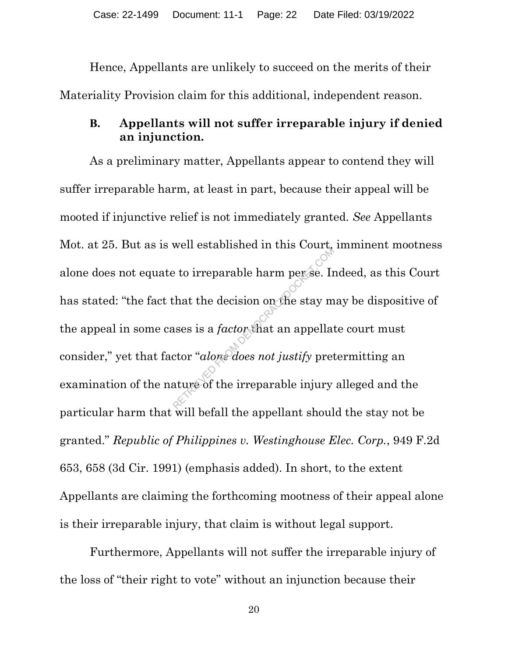Hence, Appellants are unlikely to succeed on the merits of their Materiality Provision claim for this additional, independent reason.

# **B. Appellants will not suffer irreparable injury if denied an injunction.**

As a preliminary matter, Appellants appear to contend they will suffer irreparable harm, at least in part, because their appeal will be mooted if injunctive relief is not immediately granted. *See* Appellants Mot. at 25. But as is well established in this Court, imminent mootness alone does not equate to irreparable harm per se. Indeed, as this Court has stated: "the fact that the decision on the stay may be dispositive of the appeal in some cases is a *factor* that an appellate court must consider," yet that factor "*alone does not justify* pretermitting an examination of the nature of the irreparable injury alleged and the particular harm that will befall the appellant should the stay not be granted." *Republic of Philippines v. Westinghouse Elec. Corp.*, 949 F.2d 653, 658 (3d Cir. 1991) (emphasis added). In short, to the extent Appellants are claiming the forthcoming mootness of their appeal alone is their irreparable injury, that claim is without legal support. e to irreparable harm perse. In<br>that the decision on the stay m<br>ases is a *factor* that an appellat<br>ctor "*alone does not justify* pret<br>ature of the irreparable injury

Furthermore, Appellants will not suffer the irreparable injury of the loss of "their right to vote" without an injunction because their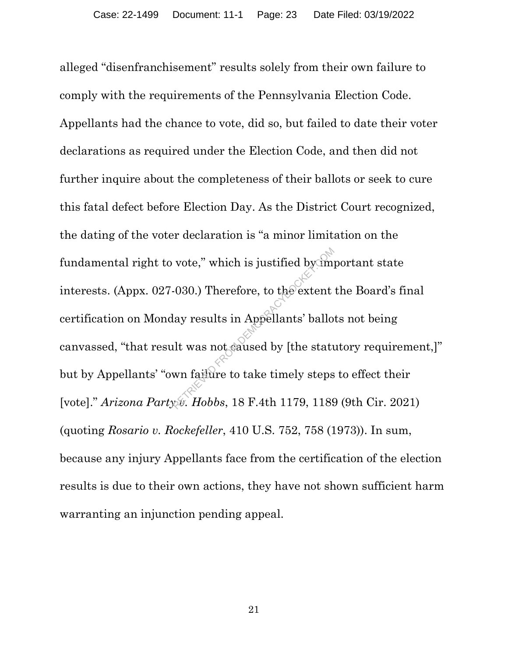alleged "disenfranchisement" results solely from their own failure to comply with the requirements of the Pennsylvania Election Code. Appellants had the chance to vote, did so, but failed to date their voter declarations as required under the Election Code, and then did not further inquire about the completeness of their ballots or seek to cure this fatal defect before Election Day. As the District Court recognized, the dating of the voter declaration is "a minor limitation on the fundamental right to vote," which is justified by important state interests. (Appx. 027-030.) Therefore, to the extent the Board's final certification on Monday results in Appellants' ballots not being canvassed, "that result was not caused by [the statutory requirement,]" but by Appellants' "own failure to take timely steps to effect their [vote]." *Arizona Party v. Hobbs*, 18 F.4th 1179, 1189 (9th Cir. 2021) (quoting *Rosario v. Rockefeller*, 410 U.S. 752, 758 (1973)). In sum, because any injury Appellants face from the certification of the election results is due to their own actions, they have not shown sufficient harm warranting an injunction pending appeal. vote," which is justified by (m)<br>-030.) Therefore, to the extent<br>lay results in Appellants' ballo<br>lit was not saused by [the statu<br>wn failure to take timely steps<br>we. Hobbs, 18 F.4th 1179, 1189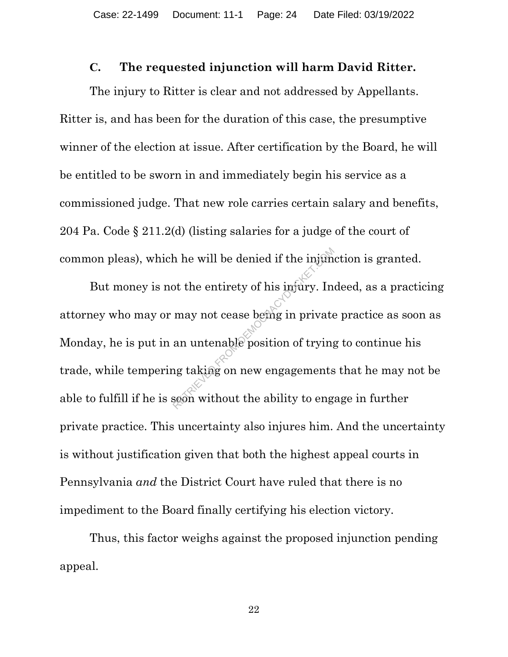### **C. The requested injunction will harm David Ritter.**

The injury to Ritter is clear and not addressed by Appellants. Ritter is, and has been for the duration of this case, the presumptive winner of the election at issue. After certification by the Board, he will be entitled to be sworn in and immediately begin his service as a commissioned judge. That new role carries certain salary and benefits, 204 Pa. Code § 211.2(d) (listing salaries for a judge of the court of common pleas), which he will be denied if the injunction is granted.

But money is not the entirety of his injury. Indeed, as a practicing attorney who may or may not cease being in private practice as soon as Monday, he is put in an untenable position of trying to continue his trade, while tempering taking on new engagements that he may not be able to fulfill if he is soon without the ability to engage in further private practice. This uncertainty also injures him. And the uncertainty is without justification given that both the highest appeal courts in Pennsylvania *and* the District Court have ruled that there is no impediment to the Board finally certifying his election victory. A he will be denied if the injum<br>ot the entirety of his infury. In<br>may not cease being in private<br>an untenable position of trying<br>ng taking on new engagements<br>seen without the ability to eng

Thus, this factor weighs against the proposed injunction pending appeal.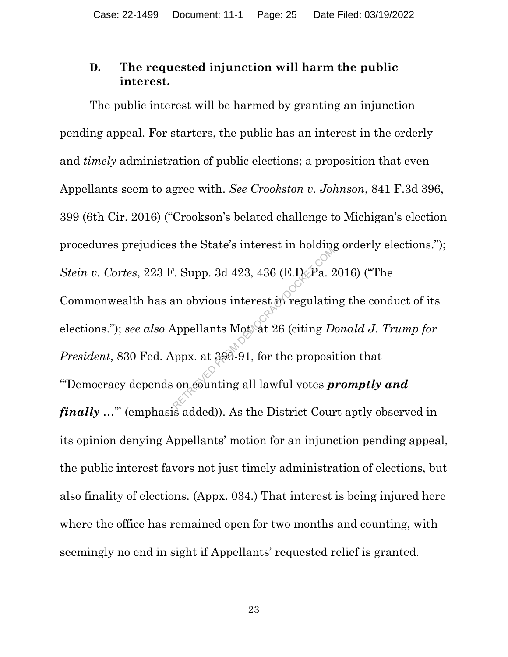# **D. The requested injunction will harm the public interest.**

The public interest will be harmed by granting an injunction pending appeal. For starters, the public has an interest in the orderly and *timely* administration of public elections; a proposition that even Appellants seem to agree with. *See Crookston v. Johnson*, 841 F.3d 396, 399 (6th Cir. 2016) ("Crookson's belated challenge to Michigan's election procedures prejudices the State's interest in holding orderly elections."); *Stein v. Cortes*, 223 F. Supp. 3d 423, 436 (E.D. Pa. 2016) ("The Commonwealth has an obvious interest in regulating the conduct of its elections."); *see also* Appellants Mot. at 26 (citing *Donald J. Trump for President*, 830 Fed. Appx. at 390-91, for the proposition that "'Democracy depends on counting all lawful votes *promptly and finally* ..." (emphasis added)). As the District Court aptly observed in its opinion denying Appellants' motion for an injunction pending appeal, the public interest favors not just timely administration of elections, but also finality of elections. (Appx. 034.) That interest is being injured here where the office has remained open for two months and counting, with seemingly no end in sight if Appellants' requested relief is granted. Example 9 methods in notating<br>
Represent to the Pacific Suppose on obvious interest in regulating<br>
Appellants Mottat 26 (citing D<br>
Appellants Mottat 26 (citing D<br>
Appellants Mottat 26 (citing D<br>
Oppose to the proposition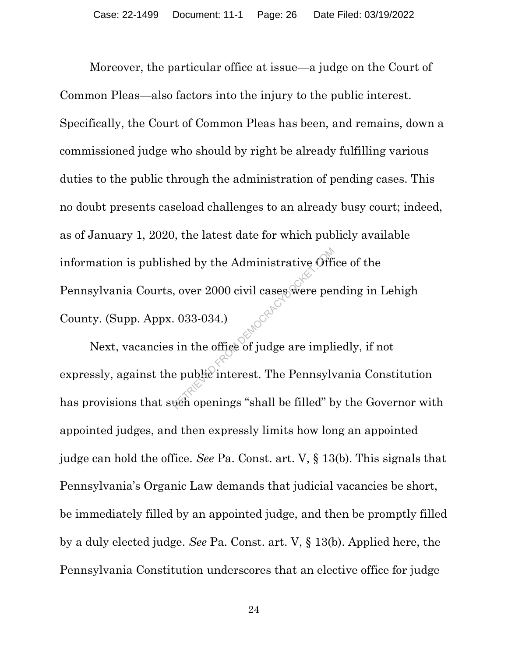Moreover, the particular office at issue—a judge on the Court of Common Pleas—also factors into the injury to the public interest. Specifically, the Court of Common Pleas has been, and remains, down a commissioned judge who should by right be already fulfilling various duties to the public through the administration of pending cases. This no doubt presents caseload challenges to an already busy court; indeed, as of January 1, 2020, the latest date for which publicly available information is published by the Administrative Office of the Pennsylvania Courts, over 2000 civil cases were pending in Lehigh County. (Supp. Appx. 033-034.) Red by the Administrative Office<br>
, over 2000 civil cases were per<br>
. 033-034.)<br>
in the office of judge are implies<br>
in the office of judge are implies<br>
in the office of judge are implies<br>
we openings "shall be filled" b

Next, vacancies in the office of judge are impliedly, if not expressly, against the public interest. The Pennsylvania Constitution has provisions that such openings "shall be filled" by the Governor with appointed judges, and then expressly limits how long an appointed judge can hold the office. *See* Pa. Const. art. V, § 13(b). This signals that Pennsylvania's Organic Law demands that judicial vacancies be short, be immediately filled by an appointed judge, and then be promptly filled by a duly elected judge. *See* Pa. Const. art. V, § 13(b). Applied here, the Pennsylvania Constitution underscores that an elective office for judge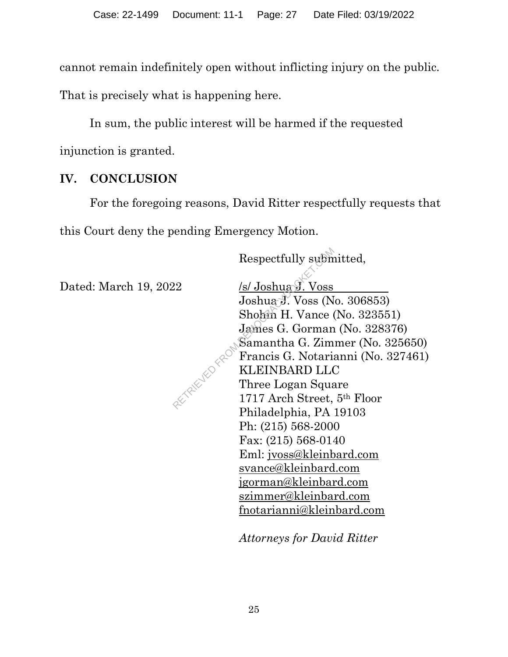cannot remain indefinitely open without inflicting injury on the public.

That is precisely what is happening here.

In sum, the public interest will be harmed if the requested injunction is granted.

# **IV. CONCLUSION**

For the foregoing reasons, David Ritter respectfully requests that this Court deny the pending Emergency Motion.

Respectfully submitted,

Dated: March 19, 2022 /s/ Joshua J. Voss

Joshua J. Voss (No. 306853) Shohin H. Vance (No. 323551) James G. Gorman (No. 328376) Samantha G. Zimmer (No. 325650) Francis G. Notarianni (No. 327461) KLEINBARD LLC Three Logan Square 1717 Arch Street, 5th Floor Philadelphia, PA 19103 Ph: (215) 568-2000 Fax: (215) 568-0140 Eml: jvoss@kleinbard.com svance@kleinbard.com jgorman@kleinbard.com szimmer@kleinbard.com fnotarianni@kleinbard.com Respectfully subm<br>
22 /s/ Joshua J. Voss (N<br>
30shua J. Voss (N<br>
50shua J. Voss (N<br>
50shua J. Vance (James G. Gorman<br>
Samantha G. Zim<br>
Francis G. Notaria<br>
KLEINBARD LL(<br>
Three Logan Squa<br>
1717 Arch Street,

*Attorneys for David Ritter*